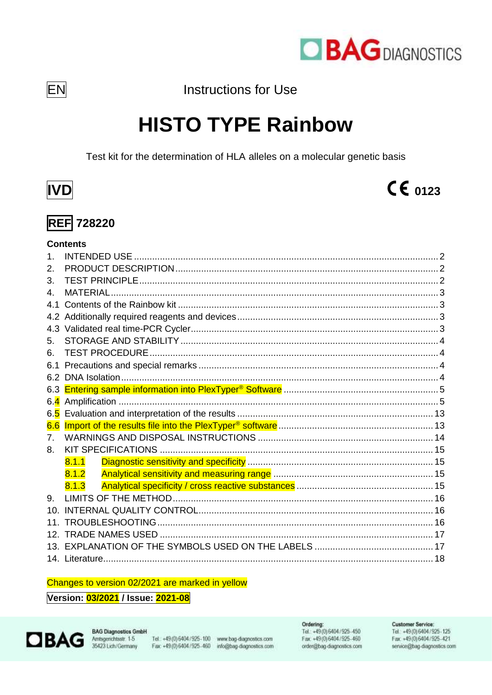

**Instructions for Use** 

# **HISTO TYPE Rainbow**

Test kit for the determination of HLA alleles on a molecular genetic basis



**EN** 

## $CE_{0123}$

## **REF 728220**

## **Contents**

| $\mathbf 1$     |       |  |
|-----------------|-------|--|
| 2.              |       |  |
| 3.              |       |  |
| 4.              |       |  |
| 41              |       |  |
| 4.2             |       |  |
| 4.3             |       |  |
| 5.              |       |  |
| 6.              |       |  |
| 6.1             |       |  |
| 6.2             |       |  |
| 6.3             |       |  |
| 6.4             |       |  |
| 65              |       |  |
| 6.6             |       |  |
| 7.              |       |  |
| 8.              |       |  |
|                 | 8.1.1 |  |
|                 | 8.1.2 |  |
|                 | 8.1.3 |  |
| 9.              |       |  |
| 10 <sup>1</sup> |       |  |
| 11              |       |  |
|                 |       |  |
|                 |       |  |
|                 |       |  |

#### Changes to version 02/2021 are marked in yellow

#### Version: 03/2021 / Issue: 2021-08



Tel. +49 (0) 6404 / 925-100 www.bag-diagnostics.com Fax: +49(0)6404/925-460 info@bag-diagnostics.com Ordering:<br>Tel.: +49(0) 6404 / 925-450 Fax: +49(0)6404/925-460 order@bag-diagnostics.com

Customer Service: Tel.: +49(0) 6404/925-125 Fax: +49(0)6404/925-421 service@bag-diagnostics.com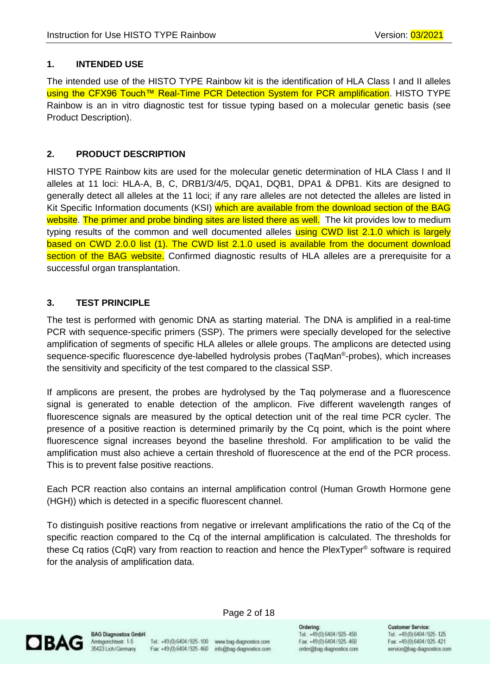#### <span id="page-1-0"></span>**1. INTENDED USE**

The intended use of the HISTO TYPE Rainbow kit is the identification of HLA Class I and II alleles using the CFX96 Touch™ Real-Time PCR Detection System for PCR amplification. HISTO TYPE Rainbow is an in vitro diagnostic test for tissue typing based on a molecular genetic basis (see Product Description).

#### <span id="page-1-1"></span>**2. PRODUCT DESCRIPTION**

HISTO TYPE Rainbow kits are used for the molecular genetic determination of HLA Class I and II alleles at 11 loci: HLA-A, B, C, DRB1/3/4/5, DQA1, DQB1, DPA1 & DPB1. Kits are designed to generally detect all alleles at the 11 loci; if any rare alleles are not detected the alleles are listed in Kit Specific Information documents (KSI) which are available from the download section of the BAG website. The primer and probe binding sites are listed there as well. The kit provides low to medium typing results of the common and well documented alleles using CWD list 2.1.0 which is largely based on CWD 2.0.0 list (1). The CWD list 2.1.0 used is available from the document download section of the BAG website. Confirmed diagnostic results of HLA alleles are a prerequisite for a successful organ transplantation.

### <span id="page-1-2"></span>**3. TEST PRINCIPLE**

The test is performed with genomic DNA as starting material. The DNA is amplified in a real-time PCR with sequence-specific primers (SSP). The primers were specially developed for the selective amplification of segments of specific HLA alleles or allele groups. The amplicons are detected using sequence-specific fluorescence dye-labelled hydrolysis probes (TaqMan®-probes), which increases the sensitivity and specificity of the test compared to the classical SSP.

If amplicons are present, the probes are hydrolysed by the Taq polymerase and a fluorescence signal is generated to enable detection of the amplicon. Five different wavelength ranges of fluorescence signals are measured by the optical detection unit of the real time PCR cycler. The presence of a positive reaction is determined primarily by the Cq point, which is the point where fluorescence signal increases beyond the baseline threshold. For amplification to be valid the amplification must also achieve a certain threshold of fluorescence at the end of the PCR process. This is to prevent false positive reactions.

Each PCR reaction also contains an internal amplification control (Human Growth Hormone gene (HGH)) which is detected in a specific fluorescent channel.

To distinguish positive reactions from negative or irrelevant amplifications the ratio of the Cq of the specific reaction compared to the Cq of the internal amplification is calculated. The thresholds for these Cq ratios (CqR) vary from reaction to reaction and hence the PlexTyper® software is required for the analysis of amplification data.



**BAG Diagnostics GmbH** Amtsgenichtsstr. 1-5 35423 Lich/Germany

Tel.: +49 (0) 6404 / 925-100 www.bag-diagnostics.com Fax: +49(0)6404/925-460 info@bag-diagnostics.com

Page 2 of 18

Ordering: Tel.: +49(0) 6404/925-450 Fax: +49(0)6404/925-460 order@bag-diagnostics.com **Customer Service**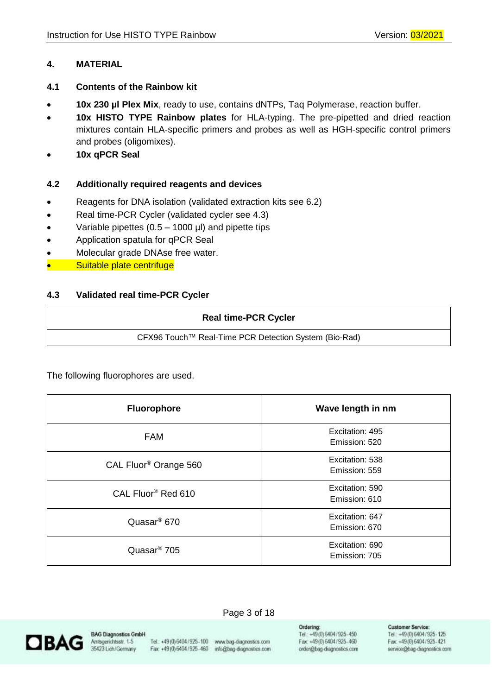#### <span id="page-2-0"></span>**4. MATERIAL**

#### <span id="page-2-1"></span>**4.1 Contents of the Rainbow kit**

- **10x 230 µl Plex Mix**, ready to use, contains dNTPs, Taq Polymerase, reaction buffer.
- **10x HISTO TYPE Rainbow plates** for HLA-typing. The pre-pipetted and dried reaction mixtures contain HLA-specific primers and probes as well as HGH-specific control primers and probes (oligomixes).
- **10x qPCR Seal**

#### <span id="page-2-2"></span>**4.2 Additionally required reagents and devices**

- Reagents for DNA isolation (validated extraction kits see 6.2)
- Real time-PCR Cycler (validated cycler see 4.3)
- Variable pipettes (0.5 1000 µl) and pipette tips
- Application spatula for qPCR Seal
- Molecular grade DNAse free water.
- Suitable plate centrifuge

#### <span id="page-2-3"></span>**4.3 Validated real time-PCR Cycler**

| <b>Real time-PCR Cycler</b>                           |
|-------------------------------------------------------|
| CFX96 Touch™ Real-Time PCR Detection System (Bio-Rad) |

The following fluorophores are used.

| <b>Fluorophore</b>                | Wave length in nm                |
|-----------------------------------|----------------------------------|
| <b>FAM</b>                        | Excitation: 495<br>Emission: 520 |
| CAL Fluor <sup>®</sup> Orange 560 | Excitation: 538<br>Emission: 559 |
| CAL Fluor <sup>®</sup> Red 610    | Excitation: 590<br>Emission: 610 |
| Quasar <sup>®</sup> 670           | Excitation: 647<br>Emission: 670 |
| Quasar <sup>®</sup> 705           | Excitation: 690<br>Emission: 705 |



**BAG Diagnostics GmbH** Amtsgerichtsstr. 1-5 35423 Lich/Germany

Tel.: +49 (0) 6404 / 925-100 www.bag-diagnostics.com Fax: +49(0)6404/925-460 info@bag-diagnostics.com

Page 3 of 18

Ordering: Tel.: +49(0) 6404/925-450 Fax: +49(0)6404/925-460 order@bag-diagnostics.com **Customer Service:**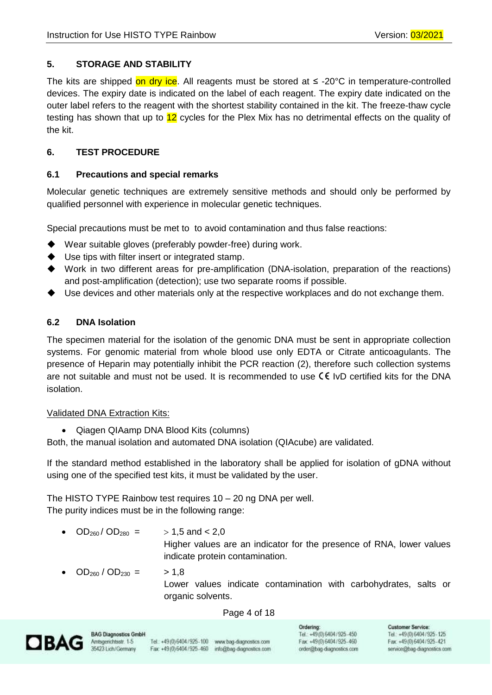## <span id="page-3-0"></span>**5. STORAGE AND STABILITY**

The kits are shipped on dry ice. All reagents must be stored at  $\leq$  -20°C in temperature-controlled devices. The expiry date is indicated on the label of each reagent. The expiry date indicated on the outer label refers to the reagent with the shortest stability contained in the kit. The freeze-thaw cycle testing has shown that up to 12 cycles for the Plex Mix has no detrimental effects on the quality of the kit.

## <span id="page-3-1"></span>**6. TEST PROCEDURE**

#### <span id="page-3-2"></span>**6.1 Precautions and special remarks**

Molecular genetic techniques are extremely sensitive methods and should only be performed by qualified personnel with experience in molecular genetic techniques.

Special precautions must be met to to avoid contamination and thus false reactions:

- ◆ Wear suitable gloves (preferably powder-free) during work.
- ◆ Use tips with filter insert or integrated stamp.
- ◆ Work in two different areas for pre-amplification (DNA-isolation, preparation of the reactions) and post-amplification (detection); use two separate rooms if possible.
- Use devices and other materials only at the respective workplaces and do not exchange them.

#### <span id="page-3-3"></span>**6.2 DNA Isolation**

The specimen material for the isolation of the genomic DNA must be sent in appropriate collection systems. For genomic material from whole blood use only EDTA or Citrate anticoagulants. The presence of Heparin may potentially inhibit the PCR reaction (2), therefore such collection systems are not suitable and must not be used. It is recommended to use  $\zeta \xi$  IvD certified kits for the DNA isolation.

#### Validated DNA Extraction Kits:

• Qiagen QIAamp DNA Blood Kits (columns)

Both, the manual isolation and automated DNA isolation (QIAcube) are validated.

If the standard method established in the laboratory shall be applied for isolation of gDNA without using one of the specified test kits, it must be validated by the user.

The HISTO TYPE Rainbow test requires 10 – 20 ng DNA per well. The purity indices must be in the following range:

- $OD_{260}/OD_{280}$  =  $> 1.5$  and < 2.0 Higher values are an indicator for the presence of RNA, lower values indicate protein contamination.
- $OD_{260} / OD_{230} =$  > 1,8 Lower values indicate contamination with carbohydrates, salts or organic solvents.

#### Page 4 of 18



**BAG Diagnostics GmbH** Amtsgenichtsstr. 1-5 35423 Lich/Germany

Tel.: +49 (0) 6404 / 925-100 www.bag-diagnostics.com Fax: +49(0)6404/925-460 info@bag-diagnostics.com

Ordering: Tel.: +49(0) 6404/925-450 Fax: +49(0)6404/925-460 order@bag-diagnostics.com **Customer Service**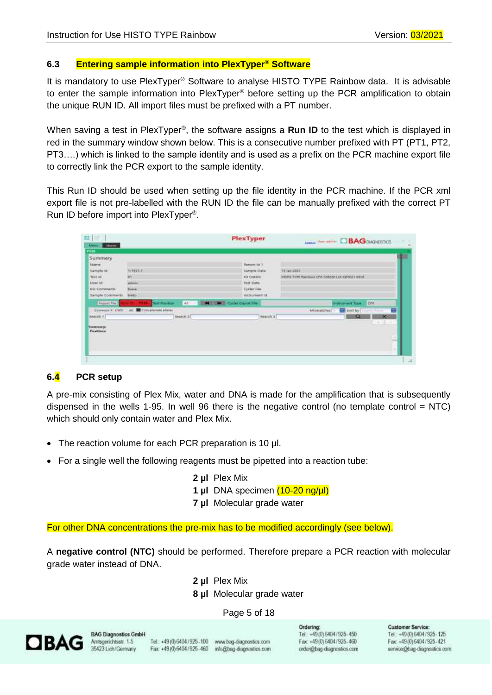#### <span id="page-4-0"></span>**6.3 Entering sample information into PlexTyper® Software**

It is mandatory to use PlexTyper® Software to analyse HISTO TYPE Rainbow data. It is advisable to enter the sample information into PlexTyper® before setting up the PCR amplification to obtain the unique RUN ID. All import files must be prefixed with a PT number.

When saving a test in PlexTyper®, the software assigns a Run ID to the test which is displayed in red in the summary window shown below. This is a consecutive number prefixed with PT (PT1, PT2, PT3….) which is linked to the sample identity and is used as a prefix on the PCR machine export file to correctly link the PCR export to the sample identity.

This Run ID should be used when setting up the file identity in the PCR machine. If the PCR xml export file is not pre-labelled with the RUN ID the file can be manually prefixed with the correct PT Run ID before import into PlexTyper® .

| PEJN                                      |                                        |           |                               |         |                                              |             |
|-------------------------------------------|----------------------------------------|-----------|-------------------------------|---------|----------------------------------------------|-------------|
| Summary                                   |                                        |           |                               |         |                                              |             |
| <b>Friarris</b>                           |                                        |           | Person ld 1                   |         |                                              |             |
| Sample (d)                                | <b>WITEST-T</b>                        |           | Sample Date                   |         | 13 July 2011                                 |             |
| Test lid                                  | <b>HY</b>                              |           | <b>Kit Details</b>            |         | HISTO TYPE Rambow CPR 728220 Let GT0021 RS14 |             |
| <b>LAUN SET</b>                           | <b>Admin</b>                           |           | Test Date                     |         |                                              |             |
| <b>KSI Comments</b>                       | <b>Tissue</b>                          |           | Cycler Fde                    |         |                                              |             |
| Sample Comments                           | Help.                                  |           | indrument id:                 |         |                                              |             |
| <b>Import Five</b>                        | <b>Tiest Plastform</b>                 | 41<br>-   | <b>M IN</b> Cycler Cross Fire |         | <b>Instrument Type</b>                       | <b>IDEX</b> |
|                                           | Convent * CWD: All Ennotations affeter |           |                               |         | Militipoches<br>sort by                      |             |
| Bearch 9.                                 |                                        | Search 21 |                               | Newch 3 | 呱                                            | $\infty$    |
| <b>CENTRAL PROPERTY</b>                   |                                        |           |                               |         |                                              |             |
| <b><i><u>Summary</u></i></b><br>Pasitives |                                        |           |                               |         |                                              |             |
|                                           |                                        |           |                               |         |                                              |             |
|                                           |                                        |           |                               |         |                                              | s           |
|                                           |                                        |           |                               |         |                                              |             |

#### <span id="page-4-1"></span>**6.4 PCR setup**

A pre-mix consisting of Plex Mix, water and DNA is made for the amplification that is subsequently dispensed in the wells 1-95. In well 96 there is the negative control (no template control  $=$  NTC) which should only contain water and Plex Mix.

- The reaction volume for each PCR preparation is 10 µl.
- For a single well the following reagents must be pipetted into a reaction tube:
	- **2 µl** Plex Mix
	- **1 µl** DNA specimen (10-20 ng/µl)
	- **7 µl** Molecular grade water

For other DNA concentrations the pre-mix has to be modified accordingly (see below).

A **negative control (NTC)** should be performed. Therefore prepare a PCR reaction with molecular grade water instead of DNA.

- **2 µl** Plex Mix
- **8 µl** Molecular grade water

#### Page 5 of 18



**BAG Diagnostics GmbH** Amtsgenichtsstr. 1-5 35423 Lich/Germany

Tel.: +49 (0) 6404 / 925-100 www.bag-diagnostics.com Fax: +49 (0) 6404 / 925 - 460 info@bag-diagnostics.com

Ordering: Tel.: +49(0) 6404/925-450 Fax: +49(0)6404/925-460 order@bag-diagnostics.com **Customer Service**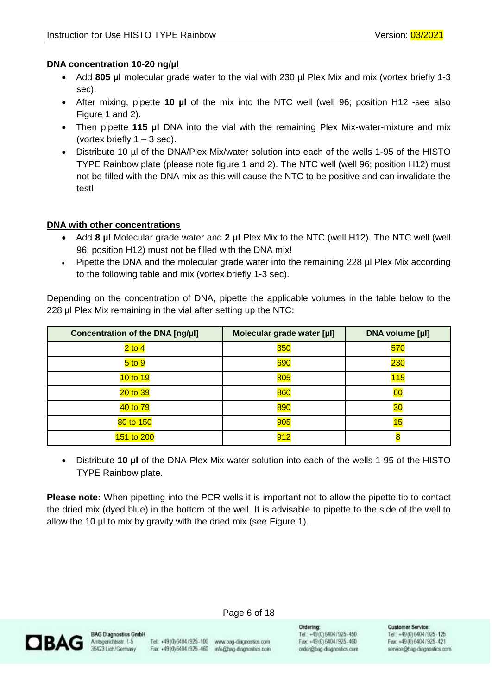#### **DNA concentration 10-20 ng/µl**

- Add 805 µl molecular grade water to the vial with 230 µl Plex Mix and mix (vortex briefly 1-3 sec).
- After mixing, pipette **10 µl** of the mix into the NTC well (well 96; position H12 -see also Figure 1 and 2).
- Then pipette **115 µl** DNA into the vial with the remaining Plex Mix-water-mixture and mix (vortex briefly  $1 - 3$  sec).
- Distribute 10 µl of the DNA/Plex Mix/water solution into each of the wells 1-95 of the HISTO TYPE Rainbow plate (please note figure 1 and 2). The NTC well (well 96; position H12) must not be filled with the DNA mix as this will cause the NTC to be positive and can invalidate the test!

#### **DNA with other concentrations**

- Add **8 µl** Molecular grade water and **2 µl** Plex Mix to the NTC (well H12). The NTC well (well 96; position H12) must not be filled with the DNA mix!
- Pipette the DNA and the molecular grade water into the remaining 228 µl Plex Mix according to the following table and mix (vortex briefly 1-3 sec).

Depending on the concentration of DNA, pipette the applicable volumes in the table below to the 228 µl Plex Mix remaining in the vial after setting up the NTC:

| Concentration of the DNA [ng/µl] | Molecular grade water [µl] | <b>DNA volume [µl]</b> |
|----------------------------------|----------------------------|------------------------|
| $2$ to 4                         | <b>350</b>                 | 570                    |
| $5$ to $9$                       | 690                        | <b>230</b>             |
| 10 to 19                         | 805                        | 115                    |
| 20 to 39                         | 860                        | 60                     |
| 40 to 79                         | 890                        | 30                     |
| 80 to 150                        | 905                        | 15                     |
| 151 to 200                       | 912                        |                        |

• Distribute **10 µl** of the DNA-Plex Mix-water solution into each of the wells 1-95 of the HISTO TYPE Rainbow plate.

**Please note:** When pipetting into the PCR wells it is important not to allow the pipette tip to contact the dried mix (dyed blue) in the bottom of the well. It is advisable to pipette to the side of the well to allow the 10 µl to mix by gravity with the dried mix (see Figure 1).



**BAG Diagnostics GmbH** Amtsgenichtsstr. 1-5 35423 Lich/Germany

Tel.: +49 (0) 6404 / 925-100 www.bag-diagnostics.com Fax: +49(0)6404/925-460 info@bag-diagnostics.com

Page 6 of 18

Ordering: Tel.: +49(0) 6404/925-450 Fax: +49(0)6404/925-460 order@bag-diagnostics.com **Customer Service**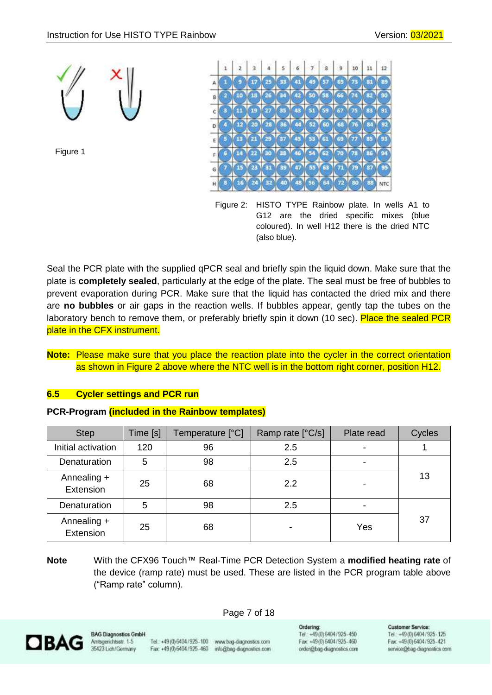

Figure 1



Figure 2: HISTO TYPE Rainbow plate. In wells A1 to G12 are the dried specific mixes (blue coloured). In well H12 there is the dried NTC (also blue).

Seal the PCR plate with the supplied qPCR seal and briefly spin the liquid down. Make sure that the plate is **completely sealed**, particularly at the edge of the plate. The seal must be free of bubbles to prevent evaporation during PCR. Make sure that the liquid has contacted the dried mix and there are **no bubbles** or air gaps in the reaction wells. If bubbles appear, gently tap the tubes on the laboratory bench to remove them, or preferably briefly spin it down (10 sec). Place the sealed PCR plate in the CFX instrument.

### **Note:** Please make sure that you place the reaction plate into the cycler in the correct orientation as shown in Figure 2 above where the NTC well is in the bottom right corner, position H12.

#### **6.5 Cycler settings and PCR run**

#### **PCR-Program (included in the Rainbow templates)**

| <b>Step</b>              | Time [s] | Temperature [°C] | Ramp rate [°C/s] | Plate read | Cycles |
|--------------------------|----------|------------------|------------------|------------|--------|
| Initial activation       | 120      | 96               | 2.5              |            |        |
| Denaturation             | 5        | 98               | 2.5              | -          |        |
| Annealing +<br>Extension | 25       | 68               | 2.2              |            | 13     |
| Denaturation             | 5        | 98               | 2.5              |            |        |
| Annealing +<br>Extension | 25       | 68               |                  | Yes        | 37     |

**Note** With the CFX96 Touch™ Real-Time PCR Detection System a **modified heating rate** of the device (ramp rate) must be used. These are listed in the PCR program table above ("Ramp rate" column).

Page 7 of 18



**BAG Diagnostics GmbH** Amtsgenichtsstr. 1-5 35423 Lich/Germany

Tel.: +49 (0) 6404 / 925-100 www.bag-diagnostics.com Fax: +49(0)6404/925-460 info@bag-diagnostics.com

Ordering: Tel.: +49(0) 6404/925-450 Fax: +49(0)6404/925-460 order@bag-diagnostics.com

#### **Customer Service**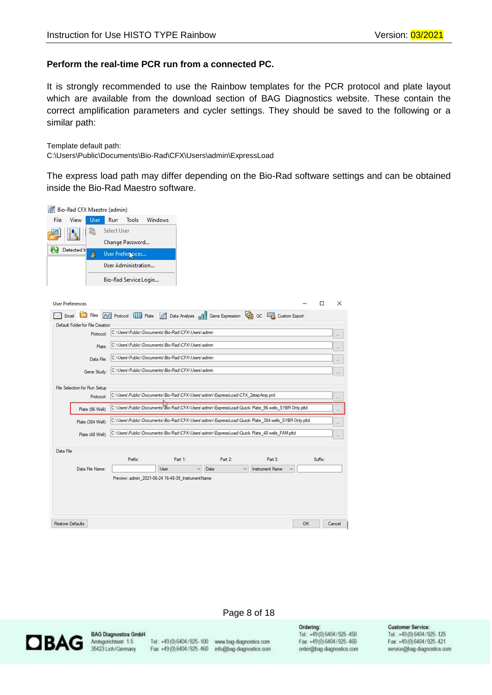#### **Perform the real-time PCR run from a connected PC.**

It is strongly recommended to use the Rainbow templates for the PCR protocol and plate layout which are available from the download section of BAG Diagnostics website. These contain the correct amplification parameters and cycler settings. They should be saved to the following or a similar path:

Template default path:

C:\Users\Public\Documents\Bio-Rad\CFX\Users\admin\ExpressLoad

The express load path may differ depending on the Bio-Rad software settings and can be obtained inside the Bio-Rad Maestro software.

| User<br>Detected In          | Run<br>Tools<br>Select User             | Windows                          |                       |                                                                                                                                                                                                                  |                                                                                                                                                                                |                                                                                                                                                                                                                                                                                          |
|------------------------------|-----------------------------------------|----------------------------------|-----------------------|------------------------------------------------------------------------------------------------------------------------------------------------------------------------------------------------------------------|--------------------------------------------------------------------------------------------------------------------------------------------------------------------------------|------------------------------------------------------------------------------------------------------------------------------------------------------------------------------------------------------------------------------------------------------------------------------------------|
|                              |                                         |                                  |                       |                                                                                                                                                                                                                  |                                                                                                                                                                                |                                                                                                                                                                                                                                                                                          |
|                              |                                         |                                  |                       |                                                                                                                                                                                                                  |                                                                                                                                                                                |                                                                                                                                                                                                                                                                                          |
|                              | Change Password                         |                                  |                       |                                                                                                                                                                                                                  |                                                                                                                                                                                |                                                                                                                                                                                                                                                                                          |
| G                            | User Prefer prces                       |                                  |                       |                                                                                                                                                                                                                  |                                                                                                                                                                                |                                                                                                                                                                                                                                                                                          |
|                              | User Administration                     |                                  |                       |                                                                                                                                                                                                                  |                                                                                                                                                                                |                                                                                                                                                                                                                                                                                          |
|                              |                                         |                                  |                       |                                                                                                                                                                                                                  |                                                                                                                                                                                |                                                                                                                                                                                                                                                                                          |
|                              |                                         |                                  |                       |                                                                                                                                                                                                                  |                                                                                                                                                                                |                                                                                                                                                                                                                                                                                          |
| <b>User Preferences</b>      |                                         |                                  |                       |                                                                                                                                                                                                                  | □                                                                                                                                                                              | ×                                                                                                                                                                                                                                                                                        |
| Files                        |                                         |                                  |                       |                                                                                                                                                                                                                  |                                                                                                                                                                                |                                                                                                                                                                                                                                                                                          |
|                              |                                         |                                  |                       |                                                                                                                                                                                                                  |                                                                                                                                                                                |                                                                                                                                                                                                                                                                                          |
|                              |                                         |                                  |                       |                                                                                                                                                                                                                  |                                                                                                                                                                                |                                                                                                                                                                                                                                                                                          |
|                              |                                         |                                  |                       |                                                                                                                                                                                                                  |                                                                                                                                                                                | 111                                                                                                                                                                                                                                                                                      |
| Data File:                   |                                         |                                  |                       |                                                                                                                                                                                                                  |                                                                                                                                                                                | in.                                                                                                                                                                                                                                                                                      |
| Gene Study:                  |                                         |                                  |                       |                                                                                                                                                                                                                  |                                                                                                                                                                                | $\overline{1}$                                                                                                                                                                                                                                                                           |
| File Selection for Run Setup |                                         |                                  |                       |                                                                                                                                                                                                                  |                                                                                                                                                                                |                                                                                                                                                                                                                                                                                          |
| Protocol:                    |                                         |                                  |                       |                                                                                                                                                                                                                  |                                                                                                                                                                                |                                                                                                                                                                                                                                                                                          |
| Plate (96 Well):             |                                         |                                  |                       |                                                                                                                                                                                                                  |                                                                                                                                                                                |                                                                                                                                                                                                                                                                                          |
| Plate (384 Well):            |                                         |                                  |                       |                                                                                                                                                                                                                  |                                                                                                                                                                                | H.                                                                                                                                                                                                                                                                                       |
|                              |                                         |                                  |                       |                                                                                                                                                                                                                  |                                                                                                                                                                                |                                                                                                                                                                                                                                                                                          |
|                              |                                         |                                  |                       |                                                                                                                                                                                                                  |                                                                                                                                                                                |                                                                                                                                                                                                                                                                                          |
|                              | Prefix:                                 | Part 1:                          | Part 2:               | Part 3:                                                                                                                                                                                                          | Suffix:                                                                                                                                                                        |                                                                                                                                                                                                                                                                                          |
|                              |                                         |                                  |                       | <b>Instrument Name</b><br>$\overline{\phantom{a}}$                                                                                                                                                               |                                                                                                                                                                                |                                                                                                                                                                                                                                                                                          |
| Data File Name:              |                                         | User                             | Date                  |                                                                                                                                                                                                                  |                                                                                                                                                                                |                                                                                                                                                                                                                                                                                          |
|                              | Protocol:<br>Plate:<br>Plate (48 Well): | Default Folder for File Creation | Bio-Rad Service Login | C:\Users\Public\Documents\Bio-Rad\CFX\Users\admin<br>C:\Users\Public\Documents\Bio-Rad\CFX\Users\admin<br>C:\Users\Public\Documents\Bio-Rad\CFX\Users\admin<br>C:\Users\Public\Documents\Bio-Rad\CFX\Users\admin | C:\Users\Public\Documents\Bio-Rad\CFX\Users\admin\ExpressLoad\CFX_2stepAmp.prcl<br>C:\Users\Public\Documents\Bio-Rad\CFX\Users\admin\ExpressLoad\Quick Plate_48 wells_FAM.pltd | A Protocol [111] Plate   Data Analysis   Gene Expression   QC   Guitom Export<br>C:\Users\Public\Documents\Bio-Rad\CFX\Users\admin\ExpressLoad\Quick Plate_96 wells_SYBR Only.pltd<br>C:\Users\Public\Documents\Bio-Rad\CFX\Users\admin\ExpressLoad\Quick Plate_384 wells_SYBR Only.pltd |



**BAG Diagnostics GmbH** Amtsgerichtsstr. 1-5<br>35423 Lich/Germany

Tel.: +49 (0) 6404 / 925-100 www.bag-diagnostics.com Fax: +49(0)6404/925-460 info@bag-diagnostics.com

Page 8 of 18

Ordering: Tel.: +49(0)6404/925-450 Fax: +49(0)6404/925-460 order@bag-diagnostics.com

#### **Customer Service:**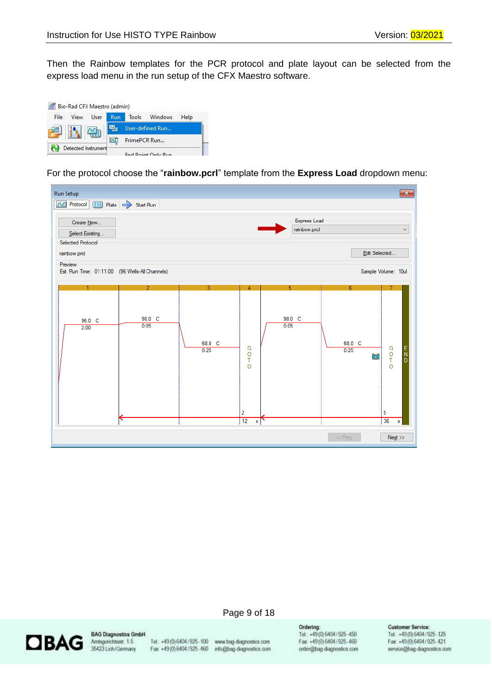Then the Rainbow templates for the PCR protocol and plate layout can be selected from the express load menu in the run setup of the CFX Maestro software.

| File | View | User | <b>Run</b> |              | Tools Windows    | Help |
|------|------|------|------------|--------------|------------------|------|
|      |      |      |            |              | User-defined Run |      |
|      |      |      |            | PrimePCR Run |                  |      |

For the protocol choose the "**rainbow.pcrl**" template from the **Express Load** dropdown menu:





**BAG Diagnostics GmbH** Amtsgerichtsstr. 1-5 35423 Lich/Germany

Tel.: +49 (0) 6404 / 925-100 www.bag-diagnostics.com Fax: +49(0)6404/925-460 info@bag-diagnostics.com

Page 9 of 18

Ordering:

Tel.: +49(0)6404/925-450 Fax: +49(0)6404/925-460 order@bag-diagnostics.com

#### **Customer Service:**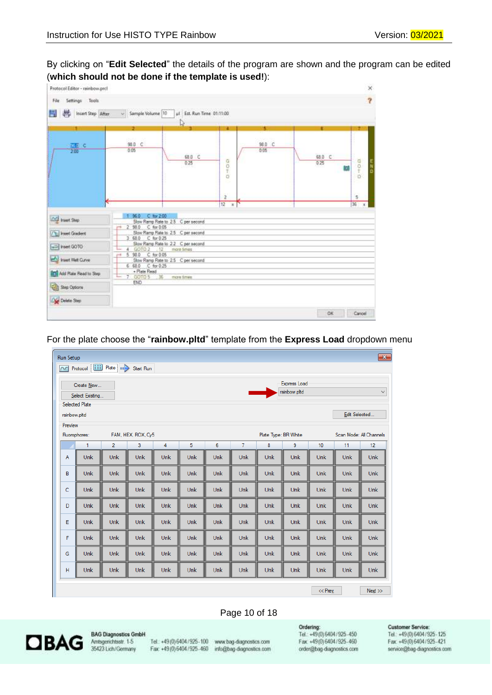By clicking on "**Edit Selected**" the details of the program are shown and the program can be edited (**which should not be done if the template is used!**):

| Settings Tools<br>File         |                                             |                                                   |                           |                |                | $\overline{\mathbf{r}}$ |
|--------------------------------|---------------------------------------------|---------------------------------------------------|---------------------------|----------------|----------------|-------------------------|
| H<br>Insert Step After<br>- 12 | - Sample Volume 10                          | ul Est. Run Time 01:11:00<br>D                    |                           | и              | п              |                         |
| $\frac{777}{200}$ C            | 98.D C<br>0.05                              | 68.0 C<br>0,25                                    | $0 - 0$<br>e.             | 98.0 C<br>0.05 | 68.0 C<br>0.25 | 中の中<br>m                |
|                                |                                             |                                                   | $\overline{z}$<br>12<br>W |                |                | 5<br>36                 |
| And huest Step                 | $C$ for $2.00$<br>36.0<br>2 98.0 C for 0.05 | Slow Ramp Rate to 2.5 C per second                |                           |                |                |                         |
| <b>Tel Insert Gradent</b>      | 3 68.0 C for 0.25                           | Slow Ramp Rate to 2.5 C per second                |                           |                |                |                         |
| hsert GOTO                     | 60102 12<br>$\frac{1}{2}$                   | Slow Ramp Rate to 22 C per second<br>more firries |                           |                |                |                         |
| huert Met Curve                | 5 98.0<br>C: for 0.05<br>6 68.0 C for 0:25  | Slow Ramp Rate to 2.5 C per second                |                           |                |                |                         |
| <b>Add Flate Read to Step:</b> | + Plate Read<br>$-36$<br>7 00105            | more firms.                                       |                           |                |                |                         |
| Step Options                   | <b>END</b>                                  |                                                   |                           |                |                |                         |
| Delate Step                    |                                             |                                                   |                           |                |                |                         |
|                                |                                             |                                                   |                           |                | OK             | Cancel                  |

For the plate choose the "**rainbow.pltd**" template from the **Express Load** dropdown menu

| <b>Run Setup</b> |                                          |                                       |                    |     |            |            |                |                      |                     |            |               | $\mathbf{x}$            |
|------------------|------------------------------------------|---------------------------------------|--------------------|-----|------------|------------|----------------|----------------------|---------------------|------------|---------------|-------------------------|
| $\sim$           |                                          | Protocol [111] Plate   11 > Start Run |                    |     |            |            |                |                      |                     |            |               |                         |
|                  | Create New                               |                                       |                    |     |            |            |                |                      | <b>Express Load</b> |            |               |                         |
|                  |                                          |                                       |                    |     |            |            |                |                      | rainbow.pltd        |            |               | $\checkmark$            |
|                  | Select Existing<br><b>Selected Plate</b> |                                       |                    |     |            |            |                |                      |                     |            |               |                         |
|                  |                                          |                                       |                    |     |            |            |                |                      |                     |            |               |                         |
| rainbow.pltd     |                                          |                                       |                    |     |            |            |                |                      |                     |            | Edit Selected |                         |
| Preview          |                                          |                                       |                    |     |            |            |                |                      |                     |            |               |                         |
| Fluorophores:    |                                          |                                       | FAM, HEX, ROX, Cy5 |     |            |            |                | Plate Type: BR White |                     |            |               | Scan Mode: All Channels |
|                  | 1                                        | $\overline{2}$                        | 3                  | 4   | 5          | 6          | $\overline{7}$ | 8                    | 9                   | 10         | 11            | 12                      |
| A                | Unk                                      | <b>Unk</b>                            | Unk                | Unk | Unk        | Unk        | Unk            | Unk                  | Unk                 | Unk        | Unk           | <b>Unk</b>              |
| B                | Unk                                      | <b>Unk</b>                            | Unk                | Unk | Unk        | Unk        | <b>Unk</b>     | Unk                  | Unk                 | Unk        | Unk           | <b>Unk</b>              |
| c                | Unk                                      | Unk                                   | Unk                | Unk | Unk        | Unk        | <b>Unk</b>     | Unk                  | Unk                 | <b>Unk</b> | Unk           | <b>Unk</b>              |
| D                | Unk                                      | <b>Unk</b>                            | Unk                | Unk | Unk        | Unk        | Unk            | Unk                  | <b>Unk</b>          | <b>Unk</b> | Unk           | Unk                     |
| E                | Unk                                      | <b>Unk</b>                            | Unk                | Unk | <b>Unk</b> | <b>Unk</b> | <b>Unk</b>     | Unk                  | <b>Unk</b>          | <b>Unk</b> | Unk           | <b>Unk</b>              |
| F                | Unk                                      | Unk                                   | Unk                | Unk | Unk        | Unk        | <b>Unk</b>     | Unk                  | Unk                 | <b>Unk</b> | Unk           | <b>Unk</b>              |
| G                | Unk                                      | Unk                                   | Unk                | Unk | Unk        | Unk        | <b>Unk</b>     | Unk                  | Unk                 | <b>Unk</b> | Unk           | <b>Unk</b>              |
| Н                | Unk                                      | <b>Unk</b>                            | <b>Unk</b>         | Unk | <b>Unk</b> | Unk        | <b>Unk</b>     | Unk                  | <b>Unk</b>          | <b>Unk</b> | Unk           | Unk.                    |
|                  |                                          |                                       |                    |     |            |            |                |                      |                     | << Prev    |               | Next                    |

#### Page 10 of 18



**BAG Diagnostics GmbH** Amtsgerichtsstr. 1-5<br>35423 Lich/Germany

Tel.: +49 (0) 6404 / 925-100 www.bag-diagnostics.com Fax: +49 (0) 6404 / 925-460 info@bag-diagnostics.com

Ordering:<br>Tel.: +49(0)6404/925-450 Fax: +49(0)6404/925-460 order@bag-diagnostics.com

#### **Customer Service:**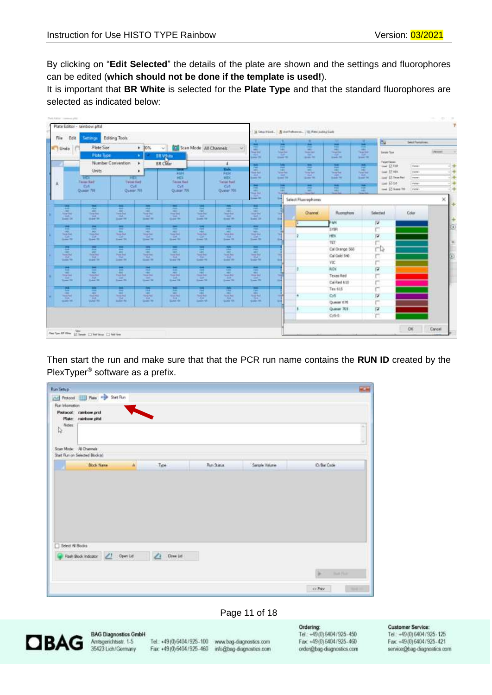By clicking on "**Edit Selected**" the details of the plate are shown and the settings and fluorophores can be edited (**which should not be done if the template is used!**).

It is important that **BR White** is selected for the **Plate Type** and that the standard fluorophores are selected as indicated below:

| Edit<br>File                                    | Settings<br>Plate Size                                                                                                                                                                                                                                                                                                                                                                       | Editing Tools                                      | $+ 30%$                                                  | U Scan Mode All Channels                                      |                                                     |                                                                                                     | н                                                                 |                                          | ≖<br>m                                                                                                                                                | ш<br>Ξ                                | <b>ISI</b><br>×<br>$rac{1}{2}$                             |                                  | <b>Select Fluingmous</b> |                |
|-------------------------------------------------|----------------------------------------------------------------------------------------------------------------------------------------------------------------------------------------------------------------------------------------------------------------------------------------------------------------------------------------------------------------------------------------------|----------------------------------------------------|----------------------------------------------------------|---------------------------------------------------------------|-----------------------------------------------------|-----------------------------------------------------------------------------------------------------|-------------------------------------------------------------------|------------------------------------------|-------------------------------------------------------------------------------------------------------------------------------------------------------|---------------------------------------|------------------------------------------------------------|----------------------------------|--------------------------|----------------|
| L. Lindo                                        | <b>Plate Type</b>                                                                                                                                                                                                                                                                                                                                                                            |                                                    |                                                          | BR VOIRE                                                      |                                                     | $\sim$                                                                                              | <b>Security</b><br><b>Searcher</b><br>$-11$<br><b>Canada</b> Per  | \$<br><b>DOM: NO</b>                     | $\frac{1}{2} \left( \frac{1}{2} \right) \left( \frac{1}{2} \right) \left( \frac{1}{2} \right)$<br>the second<br><b>SEARCHER</b>                       | $\frac{1}{2}$<br>w<br><b>Sales De</b> | $-0.01$<br><b>Said Ball</b><br><b>Tart</b><br><b>SHETE</b> | <b>Tenn Ten</b>                  |                          | <b>Percent</b> |
|                                                 |                                                                                                                                                                                                                                                                                                                                                                                              | Number Convention                                  | ۰                                                        | <b>BR</b> Clear                                               |                                                     | ×                                                                                                   | ≖<br>Pest-                                                        | <b>TAL</b><br><b>First</b>               | $\frac{1}{2}$<br><b>COLOR</b>                                                                                                                         | <b>Target</b><br><b>Fall</b>          | $\mathcal{L}$<br>PHF.                                      | Tager Tiever<br>tool 57 Feb      | <b>Table</b>             | $\frac{1}{2}$  |
|                                                 | Units:<br><b>THE</b>                                                                                                                                                                                                                                                                                                                                                                         | 745                                                | ٠                                                        | <b>STAR</b><br><b>FAM</b><br>HET                              |                                                     | $1 - 4$<br>Filt<br><b>HEK</b>                                                                       | <b>Here</b><br><b>Similar</b><br><b>TABLE</b><br><b>Lake Text</b> | 出<br><b>Signal</b><br><b>Street Till</b> | $\frac{1}{2} \left( \frac{1}{2} \right) \left( \frac{1}{2} \right) \left( \frac{1}{2} \right)$<br><b>Street Bank</b><br><b>SILE</b><br><b>Suite M</b> | 塩<br>$-410$<br>School Print           | <b>HELL</b><br>Toron State<br>. .<br>Suite 14              | low ET Hitt<br>load El New Ned   | dares)<br><b>Departs</b> | $-+$<br>$-4$   |
| Ã.                                              | <b>Target Karl</b><br>Dif                                                                                                                                                                                                                                                                                                                                                                    | Time Fed<br><b>O/I</b>                             |                                                          | Target Next<br>O/L                                            |                                                     | Taise Rad<br>Cyli                                                                                   | $\frac{1}{2}$                                                     | Ħ                                        | н                                                                                                                                                     | н                                     | Ē                                                          | sai Riot<br>lisa (2) diase fift: | states:<br>(Februa)      | 国連<br>14       |
|                                                 | Quasier 705                                                                                                                                                                                                                                                                                                                                                                                  | Ocalar 701                                         |                                                          | Quase 76                                                      |                                                     | Ocean 70E                                                                                           | <b>HELL</b><br>$-310$<br><b>START</b>                             |                                          | $\frac{1}{2} \left( \frac{1}{2} \right) \left( \frac{1}{2} \right) \left( \frac{1}{2} \right)$<br>Select Fluorophones                                 | <b>Harry</b>                          |                                                            |                                  |                          | ×              |
| 谭                                               | m<br>Wr.<br><b>Searched</b>                                                                                                                                                                                                                                                                                                                                                                  | 厧                                                  | <b>RR</b><br><b>PART</b><br>m<br><b>Searched</b>         | ÷<br>man.<br>--                                               | 彊<br><b>HALL</b><br><b>Tomber</b>                   | m<br><b>HAN</b><br><b>Teacher</b>                                                                   | ш<br>Age.<br><b>THE RAIL</b>                                      |                                          | Olanna                                                                                                                                                | Russahuw                              | Selected                                                   |                                  | Color                    |                |
| 방<br><b>Search</b>                              | <b>TAN</b><br><b>Share Will</b>                                                                                                                                                                                                                                                                                                                                                              | <b>The Bat</b><br><b>South 198</b>                 | <b>TER</b><br><b>State Rd</b>                            | Tips:<br>Grand War                                            | $-22$<br><b>Science Till</b>                        | <b>Tark</b><br><b>Seat 19</b>                                                                       | <b>LEE</b><br><b>Super Tife</b>                                   |                                          |                                                                                                                                                       | FW4                                   | ν                                                          |                                  |                          |                |
| 田                                               | 黒<br><b>ABC</b>                                                                                                                                                                                                                                                                                                                                                                              | E                                                  | ÷<br>$-$<br><b>DELT</b>                                  | ÷<br><b>SHEET</b>                                             | ▄<br>499<br><b>ABR</b>                              | 壽<br>$\sim$                                                                                         | Ξ<br>Ager:                                                        |                                          |                                                                                                                                                       | <b>SYDR</b>                           | jn.                                                        |                                  |                          |                |
| <b>THE FIRE</b><br><b>CALL</b><br><b>London</b> | <b>They Fed</b><br>16f<br><b>See St.</b>                                                                                                                                                                                                                                                                                                                                                     | <b>Service Mark</b><br><b>CAT</b><br><b>East M</b> | <b>Northern</b><br><b>SAT</b><br><b>State W</b>          | <b><i><u>Searched</u></i></b><br><b>CH</b><br><b>Grand Rd</b> | <b>THE PART</b><br><b>SP</b><br><b>Simon 14</b>     | <b>Sing Art</b><br>Full.<br>Search PA                                                               | <b>SHEAR</b><br>140<br>Seat 22                                    |                                          |                                                                                                                                                       | PEN<br>TET                            | $\vert \omega \vert$<br>v                                  |                                  |                          |                |
| G                                               | E                                                                                                                                                                                                                                                                                                                                                                                            | F                                                  | π                                                        | Ξ                                                             | 厧                                                   | 面                                                                                                   | E                                                                 |                                          |                                                                                                                                                       | Cal Orange 560                        | гÞ                                                         |                                  |                          |                |
| <b>Tomage Star</b><br>R<br><b>County Title</b>  | <b>Paint Book</b><br><b>THE</b><br><b>Start St</b>                                                                                                                                                                                                                                                                                                                                           | <b>Thing Buy</b><br>DO.<br><b>Daniel Rd</b>        | <b>COLL</b><br><b>Searcher</b><br>14<br><b>Grant</b> Mt. | <b>Provident</b><br><b>Tub</b><br>Strawer (19)                | <b>South Brand</b><br>m<br>$5 - 2$                  | <b>CALLS</b><br><b>Tour Bay</b><br>$\frac{1}{2}$                                                    | <b>Tomage Blue</b><br>$-1241$<br><b>Small</b> for                 |                                          |                                                                                                                                                       | Cal Gold 540                          | r                                                          |                                  |                          |                |
| н                                               | $\overline{\phantom{a}}$                                                                                                                                                                                                                                                                                                                                                                     |                                                    | 譚                                                        | н                                                             | Ħ                                                   | 筺                                                                                                   | ≖                                                                 |                                          |                                                                                                                                                       | VIC.<br><b>ROY</b>                    | ۳                                                          |                                  |                          |                |
| <b>SALE</b><br><b>THE REAL</b>                  | 层<br><b>Total Road</b>                                                                                                                                                                                                                                                                                                                                                                       | E<br><b>Thursday</b>                               | <b>Select</b><br>Total Park                              | $\frac{1}{2}$<br><b><i><u>Southeast</u></i></b>               | <b>AMER</b><br><b>THE R</b>                         | $-$<br>Teachers'                                                                                    | 100<br><b>HALL</b><br><b>Programs</b>                             |                                          |                                                                                                                                                       | Texas Red                             | Π<br>ж                                                     |                                  |                          |                |
| $-20$<br>Sam 10                                 | $\frac{1}{2} \frac{1}{2} \frac{1}{2} \frac{1}{2} \frac{1}{2} \frac{1}{2} \frac{1}{2} \frac{1}{2} \frac{1}{2} \frac{1}{2} \frac{1}{2} \frac{1}{2} \frac{1}{2} \frac{1}{2} \frac{1}{2} \frac{1}{2} \frac{1}{2} \frac{1}{2} \frac{1}{2} \frac{1}{2} \frac{1}{2} \frac{1}{2} \frac{1}{2} \frac{1}{2} \frac{1}{2} \frac{1}{2} \frac{1}{2} \frac{1}{2} \frac{1}{2} \frac{1}{2} \frac{1}{2} \frac{$ | $-26.4$                                            | <b>STAR</b><br><b>Send War</b>                           | $\frac{1}{2}$                                                 | $\frac{1}{2}$                                       | <b>STAR</b><br><b>Search May</b>                                                                    | فالتباد                                                           |                                          |                                                                                                                                                       | Cal Red 610                           | г                                                          |                                  |                          |                |
| 쁂                                               | ÷<br><b>ABC</b>                                                                                                                                                                                                                                                                                                                                                                              | е<br>$-0.01$                                       | m<br><b>SHOP</b>                                         | е<br>w.                                                       | н<br>$-10$                                          | m<br>$\frac{1}{2} \left( \frac{1}{2} \right) \left( \frac{1}{2} \right) \left( \frac{1}{2} \right)$ | е<br><b>HELL</b>                                                  |                                          |                                                                                                                                                       | Tex 615                               | г                                                          |                                  |                          |                |
| <b>Seattle</b><br><b>TORY</b><br>Search Till    | <b>SOME</b><br><b>FOR</b><br><b>SCALE TO</b>                                                                                                                                                                                                                                                                                                                                                 | <b>South Ave</b><br>124.1                          | <b>STATISTICS</b><br>Tim-<br>Street, No.                 | <b>Sold Ford</b><br>$7 + 1$<br>School Ald                     | <b>THE RAIL</b><br><b>LEST</b><br><b>Search St.</b> | <b>Scott Auto</b><br><b>Little</b><br>Guitar 1981                                                   | <b>SHEAT</b><br>$\frac{10}{2}$ m                                  |                                          |                                                                                                                                                       | Cy5<br>Queen 670                      | P<br>m                                                     |                                  |                          |                |
|                                                 |                                                                                                                                                                                                                                                                                                                                                                                              |                                                    |                                                          |                                                               |                                                     |                                                                                                     |                                                                   |                                          |                                                                                                                                                       | Queser 705                            | π                                                          |                                  |                          |                |
|                                                 |                                                                                                                                                                                                                                                                                                                                                                                              |                                                    |                                                          |                                                               |                                                     |                                                                                                     |                                                                   |                                          |                                                                                                                                                       | Cy5-5                                 | Ë                                                          |                                  |                          |                |

Then start the run and make sure that that the PCR run name contains the **RUN ID** created by the PlexTyper® software as a prefix.

| Run Setup       | [Ad] Protocol [11] Plate (Har Start Flum)                  |          |               |            |               | <b>KLAN</b>                     |
|-----------------|------------------------------------------------------------|----------|---------------|------------|---------------|---------------------------------|
| Run Information |                                                            |          |               |            |               |                                 |
| Notes<br>I.     | Protocol: rainbow.prof<br>Plate: rainbow.pltd              |          |               |            |               |                                 |
|                 | Scan Mode: All Channels<br>Start Run on Selected Block (a) |          |               |            |               |                                 |
|                 | <b>Block Name</b>                                          | $\Delta$ |               | Run Status | Sangle Volume | (D/Bar Code)                    |
|                 |                                                            |          | Type          |            |               |                                 |
|                 |                                                            |          |               |            |               |                                 |
| Select Al Books | Rash Block Indicator 23 Open List                          |          | △<br>Done Lid |            |               | <b>IF</b><br><b>Build Plain</b> |
|                 |                                                            |          |               |            |               |                                 |

#### Page 11 of 18



**BAG Diagnostics GmbH** Amtsgerichtsstr. 1-5<br>35423 Lich/Germany

Tel.: +49 (0) 6404 / 925-100 www.bag-diagnostics.com Fax: +49(0)6404/925-460 info@bag-diagnostics.com

Ordering: Tel.: +49(0)6404/925-450 Fax: +49(0)6404/925-460 order@bag-diagnostics.com

#### **Customer Service:**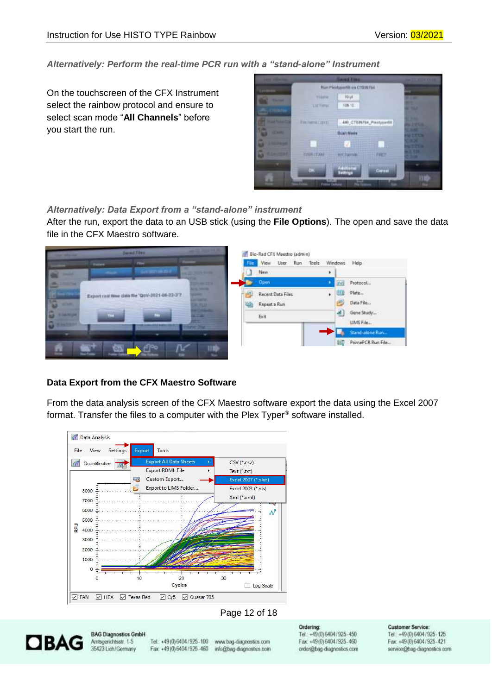#### *Alternatively: Perform the real-time PCR run with a "stand-alone" Instrument*

On the touchscreen of the CFX Instrument select the rainbow protocol and ensure to select scan mode "**All Channels**" before you start the run.



#### *Alternatively: Data Export from a "stand-alone" instrument*

After the run, export the data to an USB stick (using the **File Options**). The open and save the data file in the CFX Maestro software.



#### **Data Export from the CFX Maestro Software**

From the data analysis screen of the CFX Maestro software export the data using the Excel 2007 format. Transfer the files to a computer with the Plex Typer® software installed.



#### Page 12 of 18

<span id="page-11-0"></span>

**BAG Diagnostics GmbH** Amtsgerichtsstr. 1-5 35423 Lich/Germany

Tel.: +49 (0) 6404 / 925-100 www.bag-diagnostics.com Fax: +49(0)6404/925-460 info@bag-diagnostics.com

Ordering: Tel.: +49(0) 6404/925-450 Fax: +49(0)6404/925-460 order@bag-diagnostics.com

#### **Customer Service:**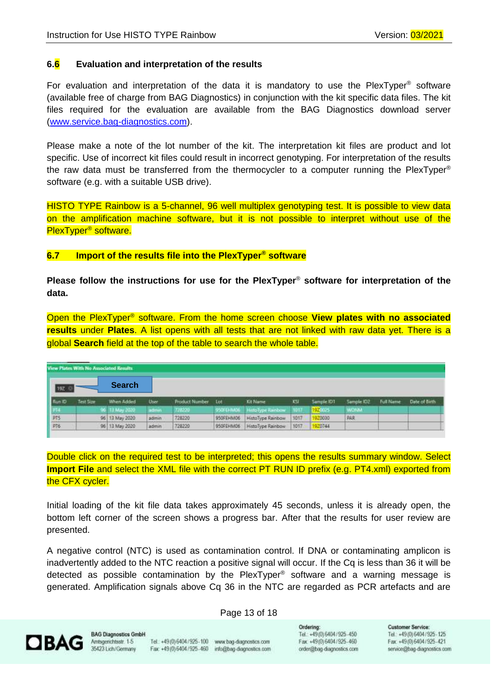#### **6.6 Evaluation and interpretation of the results**

For evaluation and interpretation of the data it is mandatory to use the PlexTyper<sup>®</sup> software (available free of charge from BAG Diagnostics) in conjunction with the kit specific data files. The kit files required for the evaluation are available from the BAG Diagnostics download server [\(www.service.bag-diagnostics.com\)](http://www.service.bag-diagnostics.com/).

Please make a note of the lot number of the kit. The interpretation kit files are product and lot specific. Use of incorrect kit files could result in incorrect genotyping. For interpretation of the results the raw data must be transferred from the thermocycler to a computer running the PlexTyper® software (e.g. with a suitable USB drive).

HISTO TYPE Rainbow is a 5-channel, 96 well multiplex genotyping test. It is possible to view data on the amplification machine software, but it is not possible to interpret without use of the PlexTyper® software.

#### <span id="page-12-0"></span>**6.7 Import of the results file into the PlexTyper® software**

**Please follow the instructions for use for the PlexTyper**® **software for interpretation of the data.**

Open the PlexTyper® software. From the home screen choose **View plates with no associated results** under **Plates**. A list opens with all tests that are not linked with raw data yet. There is a global **Search** field at the top of the table to search the whole table.

| View Plates With No Associated Results |           |                |         |                    |           |                   |      |            |             |                  |               |
|----------------------------------------|-----------|----------------|---------|--------------------|-----------|-------------------|------|------------|-------------|------------------|---------------|
| 192                                    |           | <b>Search</b>  |         |                    |           |                   |      |            |             |                  |               |
| Flun ID                                | Test Size | When Added     | User.   | Product Number Lot |           | <b>Kit Name</b>   | KSI  | Sample IDT | Sample ID2  | <b>Full Name</b> | Date of Birth |
| - 14                                   |           | 96 13 May 2020 | action. | 7212230            | 950FEHM00 | HittoType Rainbow | 1017 | 192005     | <b>WONA</b> |                  |               |
| $\frac{\text{PTS}}{\text{PT6}}$        |           | 96 13 May 2020 | admin   | 728220             | 950FEHM06 | HistoType Rainbow | 1017 | 920030     | PAR         |                  |               |
|                                        |           | 96 13 May 2020 | admin   | 728220             | 950FEHM06 | HistoType Rainbow | 1017 | 970744     |             |                  |               |

Double click on the required test to be interpreted; this opens the results summary window. Select **Import File** and select the XML file with the correct PT RUN ID prefix (e.g. PT4.xml) exported from the CFX cycler.

Initial loading of the kit file data takes approximately 45 seconds, unless it is already open, the bottom left corner of the screen shows a progress bar. After that the results for user review are presented.

A negative control (NTC) is used as contamination control. If DNA or contaminating amplicon is inadvertently added to the NTC reaction a positive signal will occur. If the Cq is less than 36 it will be detected as possible contamination by the PlexTyper® software and a warning message is generated. Amplification signals above Cq 36 in the NTC are regarded as PCR artefacts and are

#### Page 13 of 18



**BAG Diagnostics GmbH** Amtsgenichtsstr. 1-5 35423 Lich/Germany

Tel.: +49 (0) 6404 / 925-100 www.bag-diagnostics.com Fax: +49 (0) 6404 / 925 - 460 info@bag-diagnostics.com Ordering: Tel.: +49(0) 6404/925-450 Fax: +49(0)6404/925-460 order@bag-diagnostics.com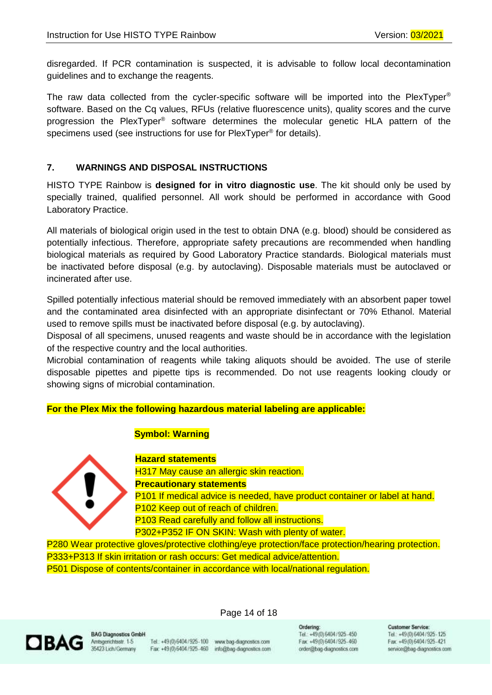disregarded. If PCR contamination is suspected, it is advisable to follow local decontamination guidelines and to exchange the reagents.

The raw data collected from the cycler-specific software will be imported into the PlexTyper<sup>®</sup> software. Based on the Cq values, RFUs (relative fluorescence units), quality scores and the curve progression the PlexTyper ® software determines the molecular genetic HLA pattern of the specimens used (see instructions for use for PlexTyper<sup>®</sup> for details).

### <span id="page-13-0"></span>**7. WARNINGS AND DISPOSAL INSTRUCTIONS**

HISTO TYPE Rainbow is **designed for in vitro diagnostic use**. The kit should only be used by specially trained, qualified personnel. All work should be performed in accordance with Good Laboratory Practice.

All materials of biological origin used in the test to obtain DNA (e.g. blood) should be considered as potentially infectious. Therefore, appropriate safety precautions are recommended when handling biological materials as required by Good Laboratory Practice standards. Biological materials must be inactivated before disposal (e.g. by autoclaving). Disposable materials must be autoclaved or incinerated after use.

Spilled potentially infectious material should be removed immediately with an absorbent paper towel and the contaminated area disinfected with an appropriate disinfectant or 70% Ethanol. Material used to remove spills must be inactivated before disposal (e.g. by autoclaving).

Disposal of all specimens, unused reagents and waste should be in accordance with the legislation of the respective country and the local authorities.

Microbial contamination of reagents while taking aliquots should be avoided. The use of sterile disposable pipettes and pipette tips is recommended. Do not use reagents looking cloudy or showing signs of microbial contamination.

#### **For the Plex Mix the following hazardous material labeling are applicable:**

#### **Symbol: Warning**



**Hazard statements** H317 May cause an allergic skin reaction. **Precautionary statements** P101 If medical advice is needed, have product container or label at hand. P102 Keep out of reach of children. P103 Read carefully and follow all instructions. P302+P352 IF ON SKIN: Wash with plenty of water.

P280 Wear protective gloves/protective clothing/eye protection/face protection/hearing protection. P333+P313 If skin irritation or rash occurs: Get medical advice/attention. P501 Dispose of contents/container in accordance with local/national regulation.



**BAG Diagnostics GmbH** Amtsgenichtsstr. 1-5 35423 Lich/Germany

Tel.: +49 (0) 6404 / 925-100 www.bag-diagnostics.com Fax: +49(0)6404/925-460 info@bag-diagnostics.com

Page 14 of 18

Ordering: Tel.: +49(0) 6404/925-450 Fax: +49(0)6404/925-460 order@bag-diagnostics.com **Customer Service**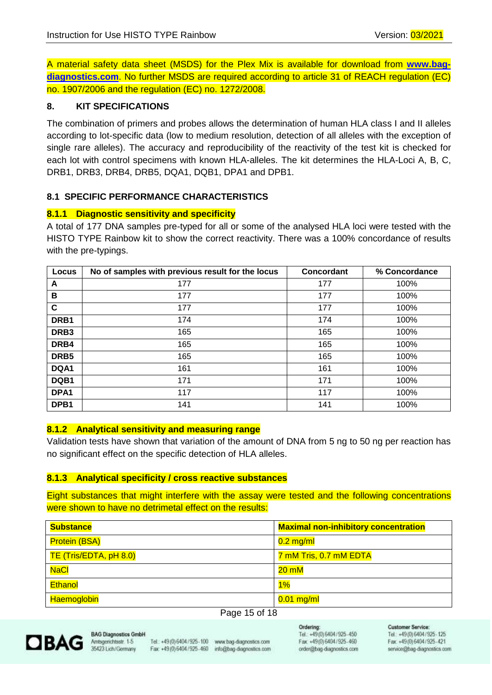A material safety data sheet (MSDS) for the Plex Mix is available for download from **[www.bag](http://www.bag-diagnostics.com/)[diagnostics.com](http://www.bag-diagnostics.com/)**. No further MSDS are required according to article 31 of REACH regulation (EC) no. 1907/2006 and the regulation (EC) no. 1272/2008.

#### <span id="page-14-0"></span>**8. KIT SPECIFICATIONS**

The combination of primers and probes allows the determination of human HLA class I and II alleles according to lot-specific data (low to medium resolution, detection of all alleles with the exception of single rare alleles). The accuracy and reproducibility of the reactivity of the test kit is checked for each lot with control specimens with known HLA-alleles. The kit determines the HLA-Loci A, B, C, DRB1, DRB3, DRB4, DRB5, DQA1, DQB1, DPA1 and DPB1.

#### **8.1 SPECIFIC PERFORMANCE CHARACTERISTICS**

#### <span id="page-14-1"></span>**8.1.1 Diagnostic sensitivity and specificity**

A total of 177 DNA samples pre-typed for all or some of the analysed HLA loci were tested with the HISTO TYPE Rainbow kit to show the correct reactivity. There was a 100% concordance of results with the pre-typings.

| Locus            | No of samples with previous result for the locus | Concordant | % Concordance |
|------------------|--------------------------------------------------|------------|---------------|
| A                | 177                                              | 177        | 100%          |
| B                | 177                                              | 177        | 100%          |
| C                | 177                                              | 177        | 100%          |
| DRB1             | 174                                              | 174        | 100%          |
| DRB <sub>3</sub> | 165                                              | 165        | 100%          |
| DRB4             | 165                                              | 165        | 100%          |
| DRB <sub>5</sub> | 165                                              | 165        | 100%          |
| DQA1             | 161                                              | 161        | 100%          |
| DQB1             | 171                                              | 171        | 100%          |
| DPA1             | 117                                              | 117        | 100%          |
| DPB1             | 141                                              | 141        | 100%          |

#### <span id="page-14-2"></span>**8.1.2 Analytical sensitivity and measuring range**

Validation tests have shown that variation of the amount of DNA from 5 ng to 50 ng per reaction has no significant effect on the specific detection of HLA alleles.

#### <span id="page-14-3"></span>**8.1.3 Analytical specificity / cross reactive substances**

Eight substances that might interfere with the assay were tested and the following concentrations were shown to have no detrimetal effect on the results:

| <b>Substance</b>       | <b>Maximal non-inhibitory concentration</b> |
|------------------------|---------------------------------------------|
| <b>Protein (BSA)</b>   | $0.2$ mg/ml                                 |
| TE (Tris/EDTA, pH 8.0) | 7 mM Tris, 0.7 mM EDTA                      |
| <b>NaCl</b>            | $20 \text{ mM}$                             |
| <b>Ethanol</b>         | $1\%$                                       |
| <b>Haemoglobin</b>     | $0.01$ mg/ml                                |

#### Page 15 of 18



Tel.: +49 (0) 6404 / 925-100 www.bag-diagnostics.com Fax: +49(0)6404/925-460 info@bag-diagnostics.com

Ordering: Tel.: +49(0) 6404/925-450 Fax: +49(0)6404/925-460 order@bag-diagnostics.com **Customer Service**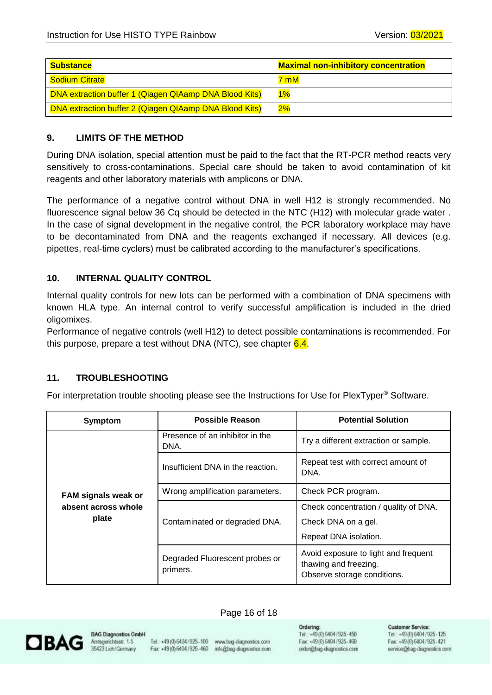| <b>Substance</b>                                       | <b>Maximal non-inhibitory concentration</b> |
|--------------------------------------------------------|---------------------------------------------|
| Sodium Citrate                                         | 7 mM                                        |
| DNA extraction buffer 1 (Qiagen QIAamp DNA Blood Kits) | $1\%$                                       |
| DNA extraction buffer 2 (Qiagen QIAamp DNA Blood Kits) | 2%                                          |

#### <span id="page-15-0"></span>**9. LIMITS OF THE METHOD**

During DNA isolation, special attention must be paid to the fact that the RT-PCR method reacts very sensitively to cross-contaminations. Special care should be taken to avoid contamination of kit reagents and other laboratory materials with amplicons or DNA.

The performance of a negative control without DNA in well H12 is strongly recommended. No fluorescence signal below 36 Cq should be detected in the NTC (H12) with molecular grade water . In the case of signal development in the negative control, the PCR laboratory workplace may have to be decontaminated from DNA and the reagents exchanged if necessary. All devices (e.g. pipettes, real-time cyclers) must be calibrated according to the manufacturer's specifications.

#### <span id="page-15-1"></span>**10. INTERNAL QUALITY CONTROL**

Internal quality controls for new lots can be performed with a combination of DNA specimens with known HLA type. An internal control to verify successful amplification is included in the dried oligomixes.

Performance of negative controls (well H12) to detect possible contaminations is recommended. For this purpose, prepare a test without DNA (NTC), see chapter  $6.4$ .

#### <span id="page-15-2"></span>**11. TROUBLESHOOTING**

For interpretation trouble shooting please see the Instructions for Use for PlexTyper® Software.

| <b>Symptom</b>             | Possible Reason                                       | <b>Potential Solution</b>                                                                    |  |
|----------------------------|-------------------------------------------------------|----------------------------------------------------------------------------------------------|--|
|                            | Presence of an inhibitor in the<br>DNA.               | Try a different extraction or sample.                                                        |  |
|                            | Insufficient DNA in the reaction.                     | Repeat test with correct amount of<br>DNA.                                                   |  |
| <b>FAM signals weak or</b> | Check PCR program.<br>Wrong amplification parameters. |                                                                                              |  |
| absent across whole        |                                                       | Check concentration / quality of DNA.                                                        |  |
| plate                      | Contaminated or degraded DNA.                         | Check DNA on a gel.                                                                          |  |
|                            |                                                       | Repeat DNA isolation.                                                                        |  |
|                            | Degraded Fluorescent probes or<br>primers.            | Avoid exposure to light and frequent<br>thawing and freezing.<br>Observe storage conditions. |  |

## **DBAG**

**BAG Diagnostics GmbH** Amtsgenichtsstr. 1-5 35423 Lich/Germany

Tel.: +49 (0) 6404 / 925-100 www.bag-diagnostics.com Fax: +49(0)6404/925-460 info@bag-diagnostics.com

Page 16 of 18

Ordering: Tel.: +49(0) 6404/925-450 Fax: +49(0)6404/925-460 order@bag-diagnostics.com **Customer Service**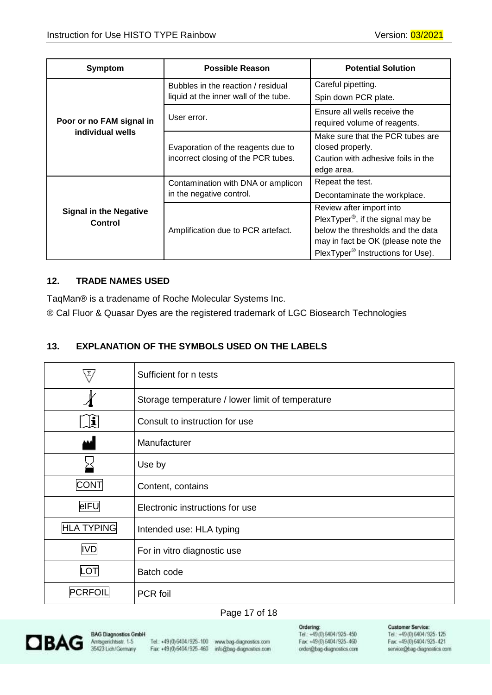| Symptom                                  | <b>Possible Reason</b>                                                      | <b>Potential Solution</b>                                                                                                                                                                             |  |
|------------------------------------------|-----------------------------------------------------------------------------|-------------------------------------------------------------------------------------------------------------------------------------------------------------------------------------------------------|--|
|                                          | Bubbles in the reaction / residual<br>liquid at the inner wall of the tube. | Careful pipetting.<br>Spin down PCR plate.                                                                                                                                                            |  |
| Poor or no FAM signal in                 | Ensure all wells receive the<br>User error.<br>required volume of reagents. |                                                                                                                                                                                                       |  |
| individual wells                         | Evaporation of the reagents due to<br>incorrect closing of the PCR tubes.   | Make sure that the PCR tubes are<br>closed properly.<br>Caution with adhesive foils in the<br>edge area.                                                                                              |  |
|                                          | Contamination with DNA or amplicon<br>in the negative control.              | Repeat the test.<br>Decontaminate the workplace.                                                                                                                                                      |  |
| <b>Signal in the Negative</b><br>Control | Amplification due to PCR artefact.                                          | Review after import into<br>PlexTyper <sup>®</sup> , if the signal may be<br>below the thresholds and the data<br>may in fact be OK (please note the<br>PlexTyper <sup>®</sup> Instructions for Use). |  |

### <span id="page-16-0"></span>**12. TRADE NAMES USED**

TaqMan® is a tradename of Roche Molecular Systems Inc.

® Cal Fluor & Quasar Dyes are the registered trademark of LGC Biosearch Technologies

## <span id="page-16-1"></span>**13. EXPLANATION OF THE SYMBOLS USED ON THE LABELS**

|                   | Sufficient for n tests                           |
|-------------------|--------------------------------------------------|
|                   | Storage temperature / lower limit of temperature |
| $\mathbf{r}$      | Consult to instruction for use                   |
|                   | Manufacturer                                     |
|                   | Use by                                           |
| <b>CONT</b>       | Content, contains                                |
| eIFU              | Electronic instructions for use                  |
| <b>HLA TYPING</b> | Intended use: HLA typing                         |
| <b>IVD</b>        | For in vitro diagnostic use                      |
| LOT               | Batch code                                       |
| PCRFOIL           | PCR foil                                         |

#### Page 17 of 18



Tel.: +49 (0) 6404 / 925-100 www.bag-diagnostics.com Fax: +49(0)6404/925-460 info@bag-diagnostics.com

Ordering:<br>Tel.: +49(0)6404/925-450 Fax: +49(0)6404/925-460 order@bag-diagnostics.com

#### **Customer Service:**